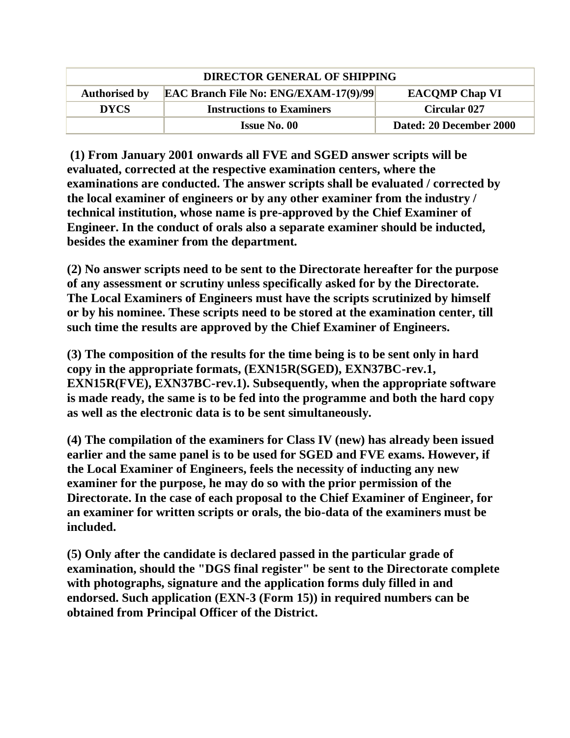| <b>DIRECTOR GENERAL OF SHIPPING</b> |                                              |                         |
|-------------------------------------|----------------------------------------------|-------------------------|
| <b>Authorised by</b>                | <b>EAC Branch File No: ENG/EXAM-17(9)/99</b> | <b>EACOMP Chap VI</b>   |
| <b>DYCS</b>                         | <b>Instructions to Examiners</b>             | <b>Circular 027</b>     |
|                                     | Issue No. 00                                 | Dated: 20 December 2000 |

**(1) From January 2001 onwards all FVE and SGED answer scripts will be evaluated, corrected at the respective examination centers, where the examinations are conducted. The answer scripts shall be evaluated / corrected by the local examiner of engineers or by any other examiner from the industry / technical institution, whose name is pre-approved by the Chief Examiner of Engineer. In the conduct of orals also a separate examiner should be inducted, besides the examiner from the department.** 

**(2) No answer scripts need to be sent to the Directorate hereafter for the purpose of any assessment or scrutiny unless specifically asked for by the Directorate. The Local Examiners of Engineers must have the scripts scrutinized by himself or by his nominee. These scripts need to be stored at the examination center, till such time the results are approved by the Chief Examiner of Engineers.** 

**(3) The composition of the results for the time being is to be sent only in hard copy in the appropriate formats, (EXN15R(SGED), EXN37BC-rev.1, EXN15R(FVE), EXN37BC-rev.1). Subsequently, when the appropriate software is made ready, the same is to be fed into the programme and both the hard copy as well as the electronic data is to be sent simultaneously.** 

**(4) The compilation of the examiners for Class IV (new) has already been issued earlier and the same panel is to be used for SGED and FVE exams. However, if the Local Examiner of Engineers, feels the necessity of inducting any new examiner for the purpose, he may do so with the prior permission of the Directorate. In the case of each proposal to the Chief Examiner of Engineer, for an examiner for written scripts or orals, the bio-data of the examiners must be included.** 

**(5) Only after the candidate is declared passed in the particular grade of examination, should the "DGS final register" be sent to the Directorate complete with photographs, signature and the application forms duly filled in and endorsed. Such application (EXN-3 (Form 15)) in required numbers can be obtained from Principal Officer of the District.**